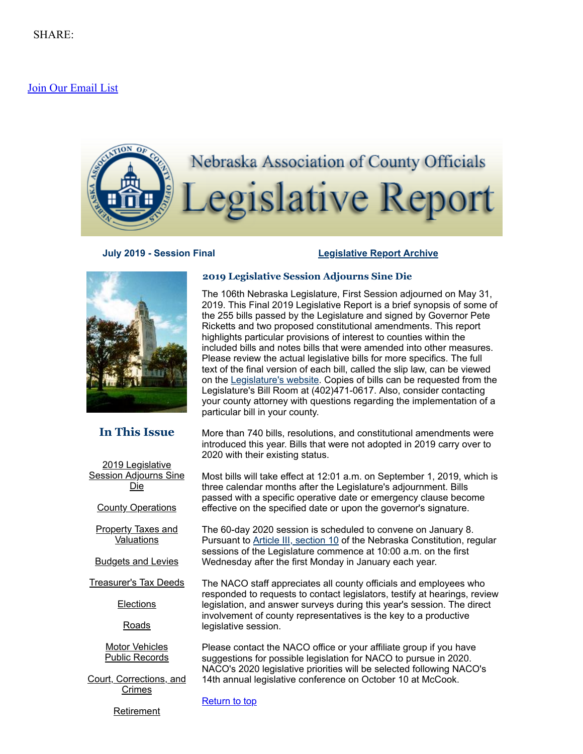# [Join Our Email List](https://visitor.constantcontact.com/d.jsp?m=1104412315568&p=oi)

<span id="page-0-1"></span>

# **July 2019 - Session Final [Legislative](http://nacone.org/webpages/legislative/legislative_newsletter.html) Report Archive**



# **In This Issue**

| 2019 Legislative             |
|------------------------------|
| <b>Session Adjourns Sine</b> |
| Die                          |

**County [Operations](#page-1-0)** 

**Property Taxes and [Valuations](#page-2-0)** 

[Budgets](#page-3-0) and Levies

[Treasurer's](#page-4-0) Tax Deeds

**[Elections](#page-4-1)** 

[Roads](#page-5-0)

Motor [Vehicles](#page-5-1) Public [Records](#page-6-0)

Court, [Corrections,](#page-7-0) and **Crimes** 

**[Retirement](#page-9-0)** 

# <span id="page-0-0"></span>**2019 Legislative Session Adjourns Sine Die**

The 106th Nebraska Legislature, First Session adjourned on May 31, 2019. This Final 2019 Legislative Report is a brief synopsis of some of the 255 bills passed by the Legislature and signed by Governor Pete Ricketts and two proposed constitutional amendments. This report highlights particular provisions of interest to counties within the included bills and notes bills that were amended into other measures. Please review the actual legislative bills for more specifics. The full text of the final version of each bill, called the slip law, can be viewed on the [Legislature's](https://nebraskalegislature.gov/) website. Copies of bills can be requested from the Legislature's Bill Room at (402)471-0617. Also, consider contacting your county attorney with questions regarding the implementation of a particular bill in your county.

More than 740 bills, resolutions, and constitutional amendments were introduced this year. Bills that were not adopted in 2019 carry over to 2020 with their existing status.

Most bills will take effect at 12:01 a.m. on September 1, 2019, which is three calendar months after the Legislature's adjournment. Bills passed with a specific operative date or emergency clause become effective on the specified date or upon the governor's signature.

The 60-day 2020 session is scheduled to convene on January 8. Pursuant to **Article III, [section](https://nebraskalegislature.gov/laws/articles.php?article=III-10) 10** of the Nebraska Constitution, regular sessions of the Legislature commence at 10:00 a.m. on the first Wednesday after the first Monday in January each year.

The NACO staff appreciates all county officials and employees who responded to requests to contact legislators, testify at hearings, review legislation, and answer surveys during this year's session. The direct involvement of county representatives is the key to a productive legislative session.

Please contact the NACO office or your affiliate group if you have suggestions for possible legislation for NACO to pursue in 2020. NACO's 2020 legislative priorities will be selected following NACO's 14th annual legislative conference on October 10 at McCook.

**[Return](#page-0-1) to top**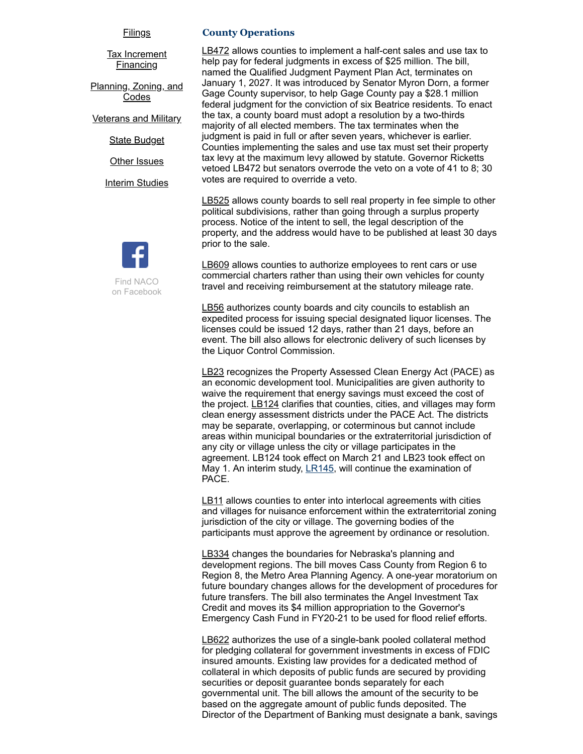#### [Filings](#page-9-1)

<u>Tax [Increment](#page-9-2)</u> **Financing** 

[Planning,](#page-10-0) Zoning, and Codes

[Veterans](#page-10-1) and Military

State [Budget](#page-11-0)

**Other [Issues](#page-11-1)** 

**Interim [Studies](#page-12-0)** 



#### <span id="page-1-0"></span>**County Operations**

[LB472](https://nebraskalegislature.gov/bills/view_bill.php?DocumentID=37000) allows counties to implement a half-cent sales and use tax to help pay for federal judgments in excess of \$25 million. The bill, named the Qualified Judgment Payment Plan Act, terminates on January 1, 2027. It was introduced by Senator Myron Dorn, a former Gage County supervisor, to help Gage County pay a \$28.1 million federal judgment for the conviction of six Beatrice residents. To enact the tax, a county board must adopt a resolution by a two-thirds majority of all elected members. The tax terminates when the judgment is paid in full or after seven years, whichever is earlier. Counties implementing the sales and use tax must set their property tax levy at the maximum levy allowed by statute. Governor Ricketts vetoed LB472 but senators overrode the veto on a vote of 41 to 8; 30 votes are required to override a veto.

[LB525](https://nebraskalegislature.gov/bills/view_bill.php?DocumentID=37595) allows county boards to sell real property in fee simple to other political subdivisions, rather than going through a surplus property process. Notice of the intent to sell, the legal description of the property, and the address would have to be published at least 30 days prior to the sale.

[LB609](https://nebraskalegislature.gov/bills/view_bill.php?DocumentID=37736) allows counties to authorize employees to rent cars or use commercial charters rather than using their own vehicles for county travel and receiving reimbursement at the statutory mileage rate.

[LB56](https://nebraskalegislature.gov/bills/view_bill.php?DocumentID=36895) authorizes county boards and city councils to establish an expedited process for issuing special designated liquor licenses. The licenses could be issued 12 days, rather than 21 days, before an event. The bill also allows for electronic delivery of such licenses by the Liquor Control Commission.

[LB23](https://nebraskalegislature.gov/bills/view_bill.php?DocumentID=37334) recognizes the Property Assessed Clean Energy Act (PACE) as an economic development tool. Municipalities are given authority to waive the requirement that energy savings must exceed the cost of the project. [LB124](https://nebraskalegislature.gov/bills/view_bill.php?DocumentID=36883) clarifies that counties, cities, and villages may form clean energy assessment districts under the PACE Act. The districts may be separate, overlapping, or coterminous but cannot include areas within municipal boundaries or the extraterritorial jurisdiction of any city or village unless the city or village participates in the agreement. LB124 took effect on March 21 and LB23 took effect on May 1. An interim study, <u>LR145</u>, will continue the examination of PACE.

[LB11](https://nebraskalegislature.gov/bills/view_bill.php?DocumentID=36800) allows counties to enter into interlocal agreements with cities and villages for nuisance enforcement within the extraterritorial zoning jurisdiction of the city or village. The governing bodies of the participants must approve the agreement by ordinance or resolution.

[LB334](https://nebraskalegislature.gov/bills/view_bill.php?DocumentID=37302) changes the boundaries for Nebraska's planning and development regions. The bill moves Cass County from Region 6 to Region 8, the Metro Area Planning Agency. A one-year moratorium on future boundary changes allows for the development of procedures for future transfers. The bill also terminates the Angel Investment Tax Credit and moves its \$4 million appropriation to the Governor's Emergency Cash Fund in FY20-21 to be used for flood relief efforts.

[LB622](https://nebraskalegislature.gov/bills/view_bill.php?DocumentID=37938) authorizes the use of a single-bank pooled collateral method for pledging collateral for government investments in excess of FDIC insured amounts. Existing law provides for a dedicated method of collateral in which deposits of public funds are secured by providing securities or deposit guarantee bonds separately for each governmental unit. The bill allows the amount of the security to be based on the aggregate amount of public funds deposited. The Director of the Department of Banking must designate a bank, savings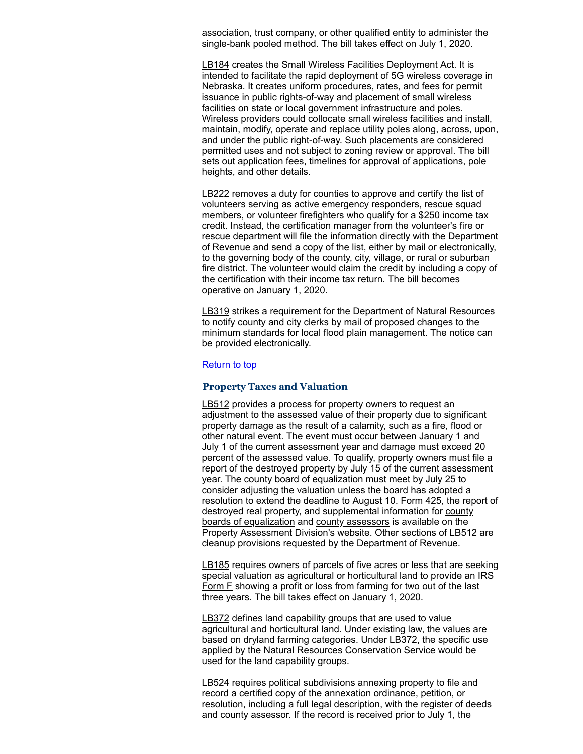association, trust company, or other qualified entity to administer the single-bank pooled method. The bill takes effect on July 1, 2020.

[LB184](https://nebraskalegislature.gov/bills/view_bill.php?DocumentID=37181) creates the Small Wireless Facilities Deployment Act. It is intended to facilitate the rapid deployment of 5G wireless coverage in Nebraska. It creates uniform procedures, rates, and fees for permit issuance in public rights-of-way and placement of small wireless facilities on state or local government infrastructure and poles. Wireless providers could collocate small wireless facilities and install, maintain, modify, operate and replace utility poles along, across, upon, and under the public right-of-way. Such placements are considered permitted uses and not subject to zoning review or approval. The bill sets out application fees, timelines for approval of applications, pole heights, and other details.

[LB222](https://nebraskalegislature.gov/bills/view_bill.php?DocumentID=36922) removes a duty for counties to approve and certify the list of volunteers serving as active emergency responders, rescue squad members, or volunteer firefighters who qualify for a \$250 income tax credit. Instead, the certification manager from the volunteer's fire or rescue department will file the information directly with the Department of Revenue and send a copy of the list, either by mail or electronically, to the governing body of the county, city, village, or rural or suburban fire district. The volunteer would claim the credit by including a copy of the certification with their income tax return. The bill becomes operative on January 1, 2020.

[LB319](https://nebraskalegislature.gov/bills/view_bill.php?DocumentID=37022) strikes a requirement for the Department of Natural Resources to notify county and city clerks by mail of proposed changes to the minimum standards for local flood plain management. The notice can be provided electronically.

#### [Return](#page-0-1) to top

## <span id="page-2-0"></span>**Property Taxes and Valuation**

[LB512](https://nebraskalegislature.gov/bills/view_bill.php?DocumentID=37504) provides a process for property owners to request an adjustment to the assessed value of their property due to significant property damage as the result of a calamity, such as a fire, flood or other natural event. The event must occur between January 1 and July 1 of the current assessment year and damage must exceed 20 percent of the assessed value. To qualify, property owners must file a report of the destroyed property by July 15 of the current assessment year. The county board of equalization must meet by July 25 to consider adjusting the valuation unless the board has adopted a resolution to extend the deadline to August 10. [Form](http://www.revenue.nebraska.gov/PAD/forms/f_425.pdf) 425, the report of destroyed real property, and [supplemental](http://www.revenue.nebraska.gov/PAD/Suggested_Practices_CBOE_Form_425.pdf) information for county boards of equalization and county [assessors](http://www.revenue.nebraska.gov/PAD/FAQ_Form_425.pdf) is available on the Property Assessment Division's website. Other sections of LB512 are cleanup provisions requested by the Department of Revenue.

[LB185](https://nebraskalegislature.gov/bills/view_bill.php?DocumentID=37260) requires owners of parcels of five acres or less that are seeking special valuation as agricultural or horticultural land to provide an IRS [Form](https://www.irs.gov/forms-pubs/about-schedule-f-form-1040) F showing a profit or loss from farming for two out of the last three years. The bill takes effect on January 1, 2020.

[LB372](https://nebraskalegislature.gov/bills/view_bill.php?DocumentID=37726) defines land capability groups that are used to value agricultural and horticultural land. Under existing law, the values are based on dryland farming categories. Under LB372, the specific use applied by the Natural Resources Conservation Service would be used for the land capability groups.

[LB524](https://nebraskalegislature.gov/bills/view_bill.php?DocumentID=37108) requires political subdivisions annexing property to file and record a certified copy of the annexation ordinance, petition, or resolution, including a full legal description, with the register of deeds and county assessor. If the record is received prior to July 1, the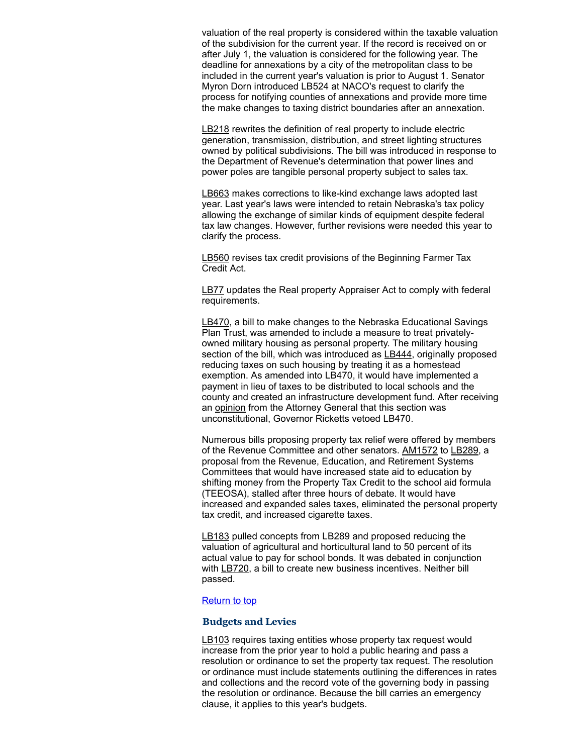valuation of the real property is considered within the taxable valuation of the subdivision for the current year. If the record is received on or after July 1, the valuation is considered for the following year. The deadline for annexations by a city of the metropolitan class to be included in the current year's valuation is prior to August 1. Senator Myron Dorn introduced LB524 at NACO's request to clarify the process for notifying counties of annexations and provide more time the make changes to taxing district boundaries after an annexation.

[LB218](https://nebraskalegislature.gov/bills/view_bill.php?DocumentID=37342) rewrites the definition of real property to include electric generation, transmission, distribution, and street lighting structures owned by political subdivisions. The bill was introduced in response to the Department of Revenue's determination that power lines and power poles are tangible personal property subject to sales tax.

[LB663](https://nebraskalegislature.gov/bills/view_bill.php?DocumentID=37850) makes corrections to like-kind exchange laws adopted last year. Last year's laws were intended to retain Nebraska's tax policy allowing the exchange of similar kinds of equipment despite federal tax law changes. However, further revisions were needed this year to clarify the process.

**[LB560](https://nebraskalegislature.gov/bills/view_bill.php?DocumentID=37261)** revises tax credit provisions of the Beginning Farmer Tax Credit Act.

[LB77](https://nebraskalegislature.gov/bills/view_bill.php?DocumentID=36978) updates the Real property Appraiser Act to comply with federal requirements.

[LB470,](https://nebraskalegislature.gov/bills/view_bill.php?DocumentID=36814) a bill to make changes to the Nebraska Educational Savings Plan Trust, was amended to include a measure to treat privatelyowned military housing as personal property. The military housing section of the bill, which was introduced as **LB444**, originally proposed reducing taxes on such housing by treating it as a homestead exemption. As amended into LB470, it would have implemented a payment in lieu of taxes to be distributed to local schools and the county and created an infrastructure development fund. After receiving an [opinion](https://ago.nebraska.gov/sites/ago.nebraska.gov/files/docs/opinions/AG%20Opinion%2019-009.pdf) from the Attorney General that this section was unconstitutional, Governor Ricketts vetoed LB470.

Numerous bills proposing property tax relief were offered by members of the Revenue Committee and other senators. [AM1572](https://nebraskalegislature.gov/FloorDocs/106/PDF/AM/AM1572.pdf) to [LB289,](https://nebraskalegislature.gov/bills/view_bill.php?DocumentID=37704) a proposal from the Revenue, Education, and Retirement Systems Committees that would have increased state aid to education by shifting money from the Property Tax Credit to the school aid formula (TEEOSA), stalled after three hours of debate. It would have increased and expanded sales taxes, eliminated the personal property tax credit, and increased cigarette taxes.

[LB183](https://nebraskalegislature.gov/bills/view_bill.php?DocumentID=37344) pulled concepts from LB289 and proposed reducing the valuation of agricultural and horticultural land to 50 percent of its actual value to pay for school bonds. It was debated in conjunction with [LB720,](https://nebraskalegislature.gov/bills/view_bill.php?DocumentID=37565) a bill to create new business incentives. Neither bill passed.

# **[Return](#page-0-1) to top**

#### <span id="page-3-0"></span>**Budgets and Levies**

[LB103](https://nebraskalegislature.gov/bills/view_bill.php?DocumentID=36871) requires taxing entities whose property tax request would increase from the prior year to hold a public hearing and pass a resolution or ordinance to set the property tax request. The resolution or ordinance must include statements outlining the differences in rates and collections and the record vote of the governing body in passing the resolution or ordinance. Because the bill carries an emergency clause, it applies to this year's budgets.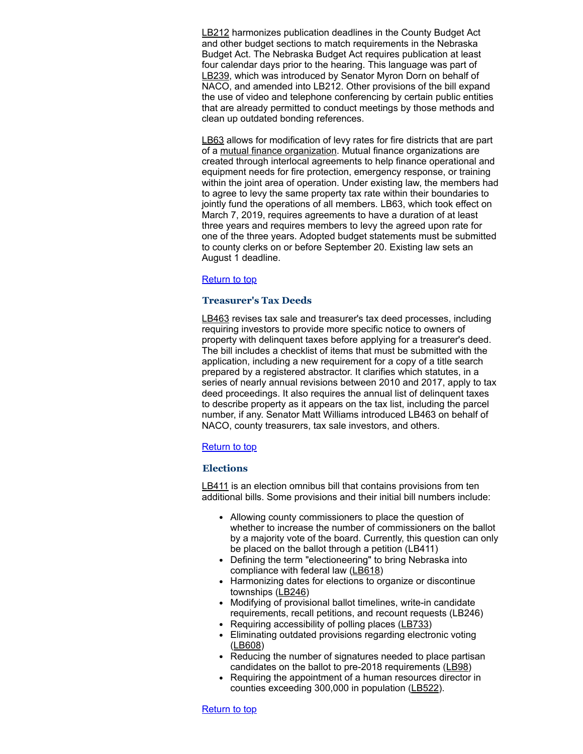[LB212](https://nebraskalegislature.gov/bills/view_bill.php?DocumentID=36874) harmonizes publication deadlines in the County Budget Act and other budget sections to match requirements in the Nebraska Budget Act. The Nebraska Budget Act requires publication at least four calendar days prior to the hearing. This language was part of [LB239,](https://nebraskalegislature.gov/bills/view_bill.php?DocumentID=37047) which was introduced by Senator Myron Dorn on behalf of NACO, and amended into LB212. Other provisions of the bill expand the use of video and telephone conferencing by certain public entities that are already permitted to conduct meetings by those methods and clean up outdated bonding references.

[LB63](https://nebraskalegislature.gov/bills/view_bill.php?DocumentID=37024) allows for modification of levy rates for fire districts that are part of a mutual finance [organization.](https://treasurer.nebraska.gov/tm/rural-fire-district-assistance.aspx) Mutual finance organizations are created through interlocal agreements to help finance operational and equipment needs for fire protection, emergency response, or training within the joint area of operation. Under existing law, the members had to agree to levy the same property tax rate within their boundaries to jointly fund the operations of all members. LB63, which took effect on March 7, 2019, requires agreements to have a duration of at least three years and requires members to levy the agreed upon rate for one of the three years. Adopted budget statements must be submitted to county clerks on or before September 20. Existing law sets an August 1 deadline.

# [Return](#page-0-1) to top

# <span id="page-4-0"></span>**Treasurer's Tax Deeds**

[LB463](https://nebraskalegislature.gov/bills/view_bill.php?DocumentID=37490) revises tax sale and treasurer's tax deed processes, including requiring investors to provide more specific notice to owners of property with delinquent taxes before applying for a treasurer's deed. The bill includes a checklist of items that must be submitted with the application, including a new requirement for a copy of a title search prepared by a registered abstractor. It clarifies which statutes, in a series of nearly annual revisions between 2010 and 2017, apply to tax deed proceedings. It also requires the annual list of delinquent taxes to describe property as it appears on the tax list, including the parcel number, if any. Senator Matt Williams introduced LB463 on behalf of NACO, county treasurers, tax sale investors, and others.

# **[Return](#page-0-1) to top**

#### <span id="page-4-1"></span>**Elections**

[LB411](https://nebraskalegislature.gov/bills/view_bill.php?DocumentID=37671) is an election omnibus bill that contains provisions from ten additional bills. Some provisions and their initial bill numbers include:

- Allowing county commissioners to place the question of whether to increase the number of commissioners on the ballot by a majority vote of the board. Currently, this question can only be placed on the ballot through a petition (LB411)
- Defining the term "electioneering" to bring Nebraska into compliance with federal law [\(LB618\)](https://nebraskalegislature.gov/bills/view_bill.php?DocumentID=37771)
- Harmonizing dates for elections to organize or discontinue townships [\(LB246\)](https://nebraskalegislature.gov/bills/view_bill.php?DocumentID=37206)
- Modifying of provisional ballot timelines, write-in candidate requirements, recall petitions, and recount requests (LB246)
- Requiring accessibility of polling places  $(\underline{LB733})$
- Eliminating outdated provisions regarding electronic voting [\(LB608](https://nebraskalegislature.gov/bills/view_bill.php?DocumentID=37670))
- Reducing the number of signatures needed to place partisan candidates on the ballot to pre-2018 requirements ([LB98](https://nebraskalegislature.gov/bills/view_bill.php?DocumentID=36899))
- Requiring the appointment of a human resources director in counties exceeding 300,000 in population [\(LB522\)](https://nebraskalegislature.gov/bills/view_bill.php?DocumentID=37541).

# [Return](#page-0-1) to top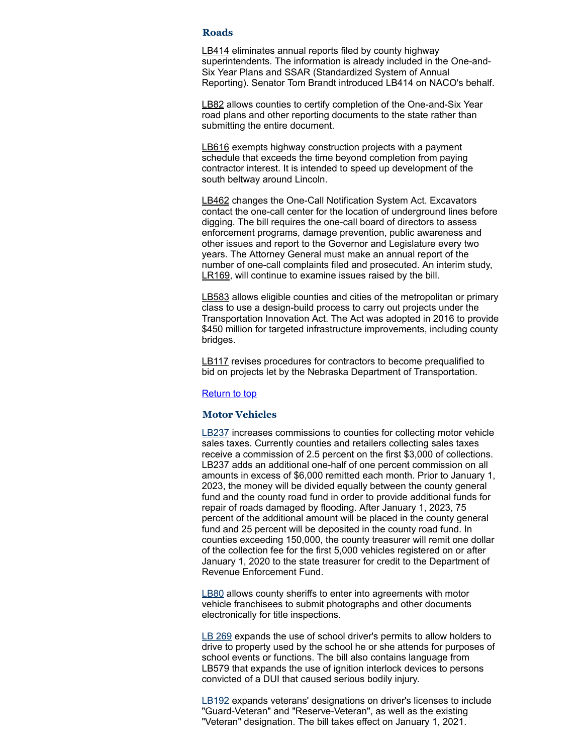#### <span id="page-5-0"></span>**Roads**

[LB414](https://nebraskalegislature.gov/bills/view_bill.php?DocumentID=37220) eliminates annual reports filed by county highway superintendents. The information is already included in the One-and-Six Year Plans and SSAR (Standardized System of Annual Reporting). Senator Tom Brandt introduced LB414 on NACO's behalf.

[LB82](https://nebraskalegislature.gov/bills/view_bill.php?DocumentID=37069) allows counties to certify completion of the One-and-Six Year road plans and other reporting documents to the state rather than submitting the entire document.

[LB616](https://nebraskalegislature.gov/bills/view_bill.php?DocumentID=37896) exempts highway construction projects with a payment schedule that exceeds the time beyond completion from paying contractor interest. It is intended to speed up development of the south beltway around Lincoln.

[LB462](https://nebraskalegislature.gov/bills/view_bill.php?DocumentID=37530) changes the One-Call Notification System Act. Excavators contact the one-call center for the location of underground lines before digging. The bill requires the one-call board of directors to assess enforcement programs, damage prevention, public awareness and other issues and report to the Governor and Legislature every two years. The Attorney General must make an annual report of the number of one-call complaints filed and prosecuted. An interim study, [LR169](https://nebraskalegislature.gov/bills/view_bill.php?DocumentID=40251), will continue to examine issues raised by the bill.

[LB583](https://nebraskalegislature.gov/bills/view_bill.php?DocumentID=37897) allows eligible counties and cities of the metropolitan or primary class to use a design-build process to carry out projects under the Transportation Innovation Act. The Act was adopted in 2016 to provide \$450 million for targeted infrastructure improvements, including county bridges.

[LB117](https://nebraskalegislature.gov/bills/view_bill.php?DocumentID=37031) revises procedures for contractors to become prequalified to bid on projects let by the Nebraska Department of Transportation.

#### **[Return](#page-0-1) to top**

# <span id="page-5-1"></span>**Motor Vehicles**

[LB237](https://nebraskalegislature.gov/bills/view_bill.php?DocumentID=37272) increases commissions to counties for collecting motor vehicle sales taxes. Currently counties and retailers collecting sales taxes receive a commission of 2.5 percent on the first \$3,000 of collections. LB237 adds an additional one-half of one percent commission on all amounts in excess of \$6,000 remitted each month. Prior to January 1, 2023, the money will be divided equally between the county general fund and the county road fund in order to provide additional funds for repair of roads damaged by flooding. After January 1, 2023, 75 percent of the additional amount will be placed in the county general fund and 25 percent will be deposited in the county road fund. In counties exceeding 150,000, the county treasurer will remit one dollar of the collection fee for the first 5,000 vehicles registered on or after January 1, 2020 to the state treasurer for credit to the Department of Revenue Enforcement Fund.

[LB80](https://nebraskalegislature.gov/bills/view_bill.php?DocumentID=37429) allows county sheriffs to enter into agreements with motor vehicle franchisees to submit photographs and other documents electronically for title inspections.

LB [269](https://nebraskalegislature.gov/bills/view_bill.php?DocumentID=36975) expands the use of school driver's permits to allow holders to drive to property used by the school he or she attends for purposes of school events or functions. The bill also contains language from LB579 that expands the use of ignition interlock devices to persons convicted of a DUI that caused serious bodily injury.

[LB192](https://nebraskalegislature.gov/bills/view_bill.php?DocumentID=37346) expands veterans' designations on driver's licenses to include "Guard-Veteran" and "Reserve-Veteran", as well as the existing "Veteran" designation. The bill takes effect on January 1, 2021.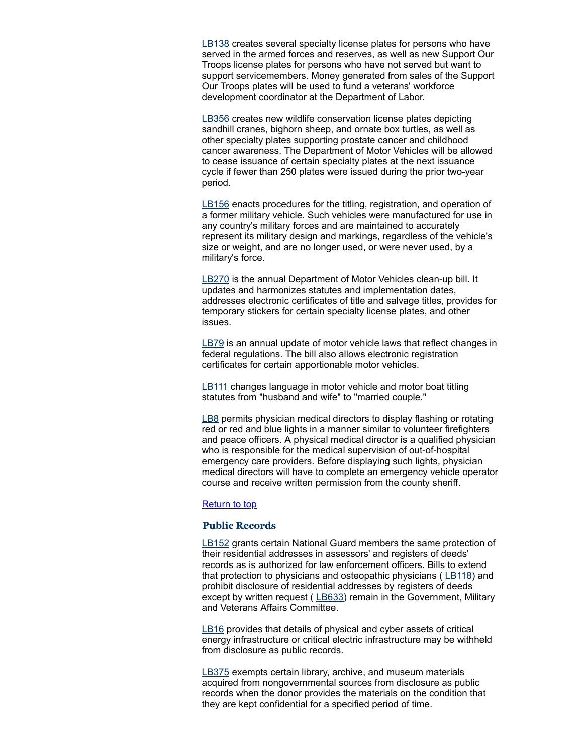[LB138](https://nebraskalegislature.gov/bills/view_bill.php?DocumentID=36992) creates several specialty license plates for persons who have served in the armed forces and reserves, as well as new Support Our Troops license plates for persons who have not served but want to support servicemembers. Money generated from sales of the Support Our Troops plates will be used to fund a veterans' workforce development coordinator at the Department of Labor.

[LB356](https://nebraskalegislature.gov/bills/view_bill.php?DocumentID=37415) creates new wildlife conservation license plates depicting sandhill cranes, bighorn sheep, and ornate box turtles, as well as other specialty plates supporting prostate cancer and childhood cancer awareness. The Department of Motor Vehicles will be allowed to cease issuance of certain specialty plates at the next issuance cycle if fewer than 250 plates were issued during the prior two-year period.

[LB156](https://nebraskalegislature.gov/bills/view_bill.php?DocumentID=37043) enacts procedures for the titling, registration, and operation of a former military vehicle. Such vehicles were manufactured for use in any country's military forces and are maintained to accurately represent its military design and markings, regardless of the vehicle's size or weight, and are no longer used, or were never used, by a military's force.

[LB270](https://nebraskalegislature.gov/bills/view_bill.php?DocumentID=37017) is the annual Department of Motor Vehicles clean-up bill. It updates and harmonizes statutes and implementation dates, addresses electronic certificates of title and salvage titles, provides for temporary stickers for certain specialty license plates, and other issues.

[LB79](https://nebraskalegislature.gov/bills/view_bill.php?DocumentID=37128) is an annual update of motor vehicle laws that reflect changes in federal regulations. The bill also allows electronic registration certificates for certain apportionable motor vehicles.

[LB111](https://nebraskalegislature.gov/bills/view_bill.php?DocumentID=36811) changes language in motor vehicle and motor boat titling statutes from "husband and wife" to "married couple."

[LB8](https://nebraskalegislature.gov/bills/view_bill.php?DocumentID=36798) permits physician medical directors to display flashing or rotating red or red and blue lights in a manner similar to volunteer firefighters and peace officers. A physical medical director is a qualified physician who is responsible for the medical supervision of out-of-hospital emergency care providers. Before displaying such lights, physician medical directors will have to complete an emergency vehicle operator course and receive written permission from the county sheriff.

#### [Return](#page-0-1) to top

### <span id="page-6-0"></span>**Public Records**

[LB152](https://nebraskalegislature.gov/bills/view_bill.php?DocumentID=36929) grants certain National Guard members the same protection of their residential addresses in assessors' and registers of deeds' records as is authorized for law enforcement officers. Bills to extend that protection to physicians and osteopathic physicians  $($   $LB118)$  and prohibit disclosure of residential addresses by registers of deeds except by written request ([LB633\)](https://nebraskalegislature.gov/bills/view_bill.php?DocumentID=37791) remain in the Government, Military and Veterans Affairs Committee.

[LB16](https://nebraskalegislature.gov/bills/view_bill.php?DocumentID=37464) provides that details of physical and cyber assets of critical energy infrastructure or critical electric infrastructure may be withheld from disclosure as public records.

[LB375](https://nebraskalegislature.gov/bills/view_bill.php?DocumentID=37146) exempts certain library, archive, and museum materials acquired from nongovernmental sources from disclosure as public records when the donor provides the materials on the condition that they are kept confidential for a specified period of time.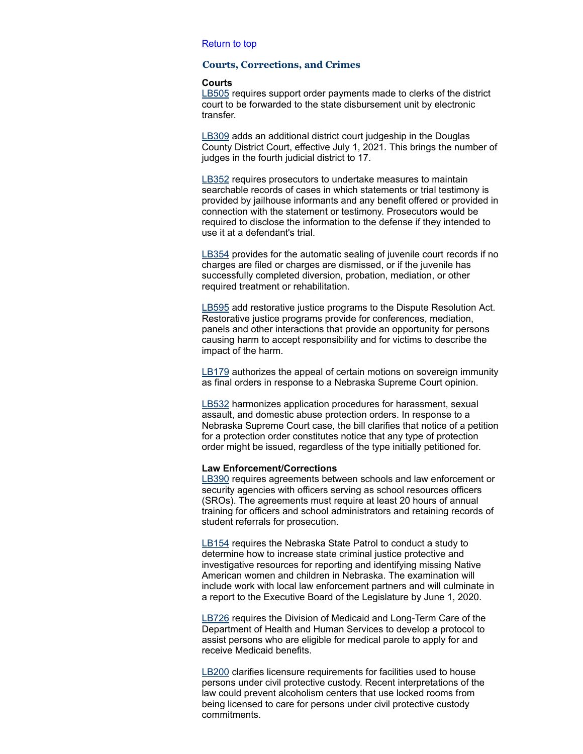### [Return](#page-0-1) to top

#### <span id="page-7-0"></span>**Courts, Corrections, and Crimes**

#### **Courts**

[LB505](https://nebraskalegislature.gov/bills/view_bill.php?DocumentID=37540) requires support order payments made to clerks of the district court to be forwarded to the state disbursement unit by electronic transfer.

[LB309](https://nebraskalegislature.gov/bills/view_bill.php?DocumentID=37358) adds an additional district court judgeship in the Douglas County District Court, effective July 1, 2021. This brings the number of judges in the fourth judicial district to 17.

[LB352](https://nebraskalegislature.gov/bills/view_bill.php?DocumentID=37475) requires prosecutors to undertake measures to maintain searchable records of cases in which statements or trial testimony is provided by jailhouse informants and any benefit offered or provided in connection with the statement or testimony. Prosecutors would be required to disclose the information to the defense if they intended to use it at a defendant's trial.

[LB354](https://nebraskalegislature.gov/bills/view_bill.php?DocumentID=37297) provides for the automatic sealing of juvenile court records if no charges are filed or charges are dismissed, or if the juvenile has successfully completed diversion, probation, mediation, or other required treatment or rehabilitation.

[LB595](https://nebraskalegislature.gov/bills/view_bill.php?DocumentID=37324) add restorative justice programs to the Dispute Resolution Act. Restorative justice programs provide for conferences, mediation, panels and other interactions that provide an opportunity for persons causing harm to accept responsibility and for victims to describe the impact of the harm.

[LB179](https://nebraskalegislature.gov/bills/view_bill.php?DocumentID=36943) authorizes the appeal of certain motions on sovereign immunity as final orders in response to a Nebraska Supreme Court opinion.

[LB532](https://nebraskalegislature.gov/bills/view_bill.php?DocumentID=37413) harmonizes application procedures for harassment, sexual assault, and domestic abuse protection orders. In response to a Nebraska Supreme Court case, the bill clarifies that notice of a petition for a protection order constitutes notice that any type of protection order might be issued, regardless of the type initially petitioned for.

# **Law Enforcement/Corrections**

[LB390](https://nebraskalegislature.gov/bills/view_bill.php?DocumentID=37389) requires agreements between schools and law enforcement or security agencies with officers serving as school resources officers (SROs). The agreements must require at least 20 hours of annual training for officers and school administrators and retaining records of student referrals for prosecution.

[LB154](https://nebraskalegislature.gov/bills/view_bill.php?DocumentID=37356) requires the Nebraska State Patrol to conduct a study to determine how to increase state criminal justice protective and investigative resources for reporting and identifying missing Native American women and children in Nebraska. The examination will include work with local law enforcement partners and will culminate in a report to the Executive Board of the Legislature by June 1, 2020.

[LB726](https://nebraskalegislature.gov/bills/view_bill.php?DocumentID=37900) requires the Division of Medicaid and Long-Term Care of the Department of Health and Human Services to develop a protocol to assist persons who are eligible for medical parole to apply for and receive Medicaid benefits.

[LB200](https://nebraskalegislature.gov/bills/view_bill.php?DocumentID=37520) clarifies licensure requirements for facilities used to house persons under civil protective custody. Recent interpretations of the law could prevent alcoholism centers that use locked rooms from being licensed to care for persons under civil protective custody commitments.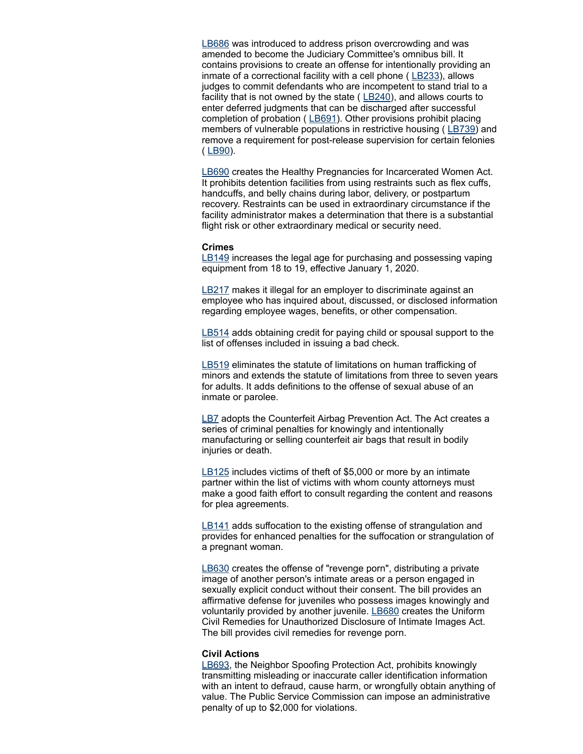[LB686](https://nebraskalegislature.gov/bills/view_bill.php?DocumentID=37725) was introduced to address prison overcrowding and was amended to become the Judiciary Committee's omnibus bill. It contains provisions to create an offense for intentionally providing an inmate of a correctional facility with a cell phone ( $LE233$ ), allows judges to commit defendants who are incompetent to stand trial to a facility that is not owned by the state ( $L$ B240), and allows courts to enter deferred judgments that can be discharged after successful completion of probation ([LB691\)](https://nebraskalegislature.gov/bills/view_bill.php?DocumentID=37872). Other provisions prohibit placing members of vulnerable populations in restrictive housing ([LB739](https://nebraskalegislature.gov/bills/view_bill.php?DocumentID=37641)) and remove a requirement for post-release supervision for certain felonies  $(LB90).$  $(LB90).$  $(LB90).$ 

[LB690](https://nebraskalegislature.gov/bills/view_bill.php?DocumentID=37876) creates the Healthy Pregnancies for Incarcerated Women Act. It prohibits detention facilities from using restraints such as flex cuffs, handcuffs, and belly chains during labor, delivery, or postpartum recovery. Restraints can be used in extraordinary circumstance if the facility administrator makes a determination that there is a substantial flight risk or other extraordinary medical or security need.

# **Crimes**

[LB149](https://nebraskalegislature.gov/bills/view_bill.php?DocumentID=36920) increases the legal age for purchasing and possessing vaping equipment from 18 to 19, effective January 1, 2020.

[LB217](https://nebraskalegislature.gov/bills/view_bill.php?DocumentID=37096) makes it illegal for an employer to discriminate against an employee who has inquired about, discussed, or disclosed information regarding employee wages, benefits, or other compensation.

[LB514](https://nebraskalegislature.gov/bills/view_bill.php?DocumentID=37794) adds obtaining credit for paying child or spousal support to the list of offenses included in issuing a bad check.

[LB519](https://nebraskalegislature.gov/bills/view_bill.php?DocumentID=37473) eliminates the statute of limitations on human trafficking of minors and extends the statute of limitations from three to seven years for adults. It adds definitions to the offense of sexual abuse of an inmate or parolee.

[LB7](https://nebraskalegislature.gov/bills/view_bill.php?DocumentID=36797) adopts the Counterfeit Airbag Prevention Act. The Act creates a series of criminal penalties for knowingly and intentionally manufacturing or selling counterfeit air bags that result in bodily injuries or death.

[LB125](https://nebraskalegislature.gov/bills/view_bill.php?DocumentID=37548) includes victims of theft of \$5,000 or more by an intimate partner within the list of victims with whom county attorneys must make a good faith effort to consult regarding the content and reasons for plea agreements.

[LB141](https://nebraskalegislature.gov/bills/view_bill.php?DocumentID=37477) adds suffocation to the existing offense of strangulation and provides for enhanced penalties for the suffocation or strangulation of a pregnant woman.

[LB630](https://nebraskalegislature.gov/bills/view_bill.php?DocumentID=37906) creates the offense of "revenge porn", distributing a private image of another person's intimate areas or a person engaged in sexually explicit conduct without their consent. The bill provides an affirmative defense for juveniles who possess images knowingly and voluntarily provided by another juvenile. **[LB680](https://nebraskalegislature.gov/bills/view_bill.php?DocumentID=37906)** creates the Uniform Civil Remedies for Unauthorized Disclosure of Intimate Images Act. The bill provides civil remedies for revenge porn.

# **Civil Actions**

[LB693,](https://nebraskalegislature.gov/bills/view_bill.php?DocumentID=37679) the Neighbor Spoofing Protection Act, prohibits knowingly transmitting misleading or inaccurate caller identification information with an intent to defraud, cause harm, or wrongfully obtain anything of value. The Public Service Commission can impose an administrative penalty of up to \$2,000 for violations.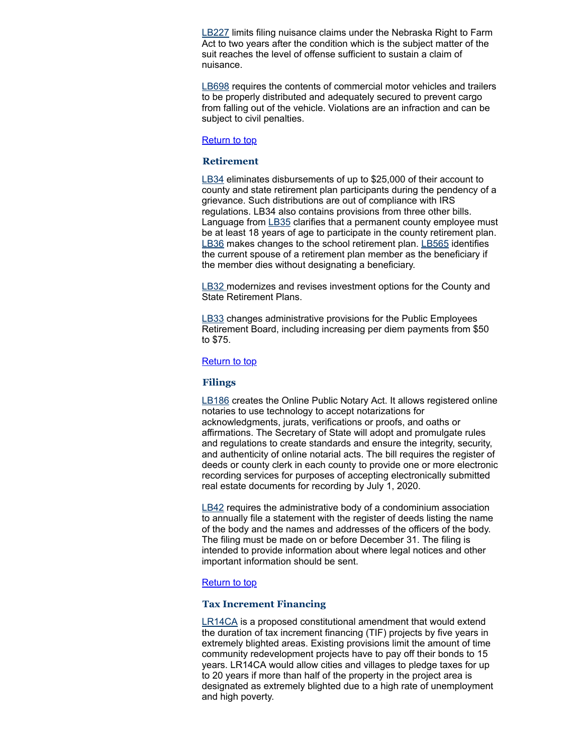[LB227](https://nebraskalegislature.gov/bills/view_bill.php?DocumentID=37299) limits filing nuisance claims under the Nebraska Right to Farm Act to two years after the condition which is the subject matter of the suit reaches the level of offense sufficient to sustain a claim of nuisance.

[LB698](https://nebraskalegislature.gov/bills/view_bill.php?DocumentID=37672) requires the contents of commercial motor vehicles and trailers to be properly distributed and adequately secured to prevent cargo from falling out of the vehicle. Violations are an infraction and can be subject to civil penalties.

# [Return](#page-0-1) to top

# <span id="page-9-0"></span>**Retirement**

[LB34](https://nebraskalegislature.gov/bills/view_bill.php?DocumentID=37117) eliminates disbursements of up to \$25,000 of their account to county and state retirement plan participants during the pendency of a grievance. Such distributions are out of compliance with IRS regulations. LB34 also contains provisions from three other bills. Language from [LB35](https://nebraskalegislature.gov/bills/view_bill.php?DocumentID=37563) clarifies that a permanent county employee must be at least 18 years of age to participate in the county retirement plan. [LB36](https://nebraskalegislature.gov/bills/view_bill.php?DocumentID=37553) makes changes to the school retirement plan. [LB565](https://nebraskalegislature.gov/bills/view_bill.php?DocumentID=37792) identifies the current spouse of a retirement plan member as the beneficiary if the member dies without designating a beneficiary.

**[LB32](https://nebraskalegislature.gov/bills/view_bill.php?DocumentID=37048)** modernizes and revises investment options for the County and State Retirement Plans.

[LB33](https://nebraskalegislature.gov/bills/view_bill.php?DocumentID=37552) changes administrative provisions for the Public Employees Retirement Board, including increasing per diem payments from \$50 to \$75.

### [Return](#page-0-1) to top

#### <span id="page-9-1"></span>**Filings**

[LB186](https://nebraskalegislature.gov/bills/view_bill.php?DocumentID=37175) creates the Online Public Notary Act. It allows registered online notaries to use technology to accept notarizations for acknowledgments, jurats, verifications or proofs, and oaths or affirmations. The Secretary of State will adopt and promulgate rules and regulations to create standards and ensure the integrity, security, and authenticity of online notarial acts. The bill requires the register of deeds or county clerk in each county to provide one or more electronic recording services for purposes of accepting electronically submitted real estate documents for recording by July 1, 2020.

[LB42](https://nebraskalegislature.gov/bills/view_bill.php?DocumentID=37368) requires the administrative body of a condominium association to annually file a statement with the register of deeds listing the name of the body and the names and addresses of the officers of the body. The filing must be made on or before December 31. The filing is intended to provide information about where legal notices and other important information should be sent.

#### [Return](#page-0-1) to top

#### <span id="page-9-2"></span>**Tax Increment Financing**

[LR14CA](https://nebraskalegislature.gov/bills/view_bill.php?DocumentID=36832) is a proposed constitutional amendment that would extend the duration of tax increment financing (TIF) projects by five years in extremely blighted areas. Existing provisions limit the amount of time community redevelopment projects have to pay off their bonds to 15 years. LR14CA would allow cities and villages to pledge taxes for up to 20 years if more than half of the property in the project area is designated as extremely blighted due to a high rate of unemployment and high poverty.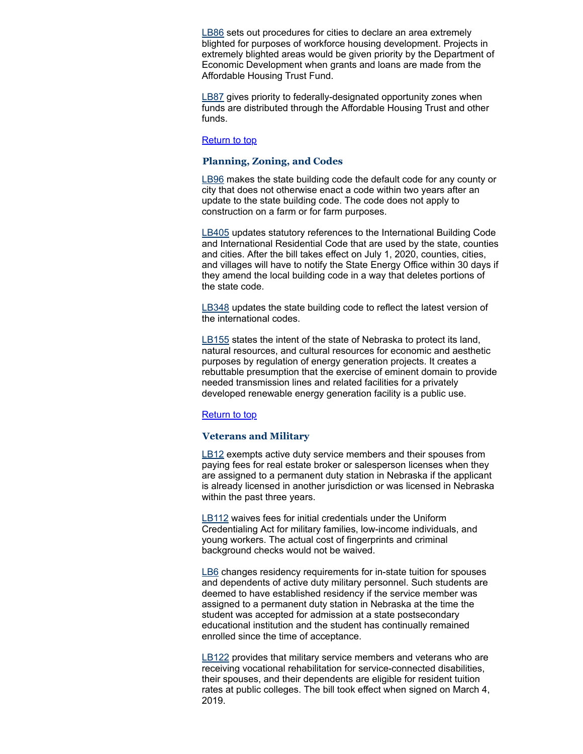[LB86](https://nebraskalegislature.gov/bills/view_bill.php?DocumentID=37408) sets out procedures for cities to declare an area extremely blighted for purposes of workforce housing development. Projects in extremely blighted areas would be given priority by the Department of Economic Development when grants and loans are made from the Affordable Housing Trust Fund.

[LB87](https://nebraskalegislature.gov/bills/view_bill.php?DocumentID=37409) gives priority to federally-designated opportunity zones when funds are distributed through the Affordable Housing Trust and other funds.

# [Return](#page-0-1) to top

# <span id="page-10-0"></span>**Planning, Zoning, and Codes**

**[LB96](https://nebraskalegislature.gov/bills/view_bill.php?DocumentID=36838)** makes the state building code the default code for any county or city that does not otherwise enact a code within two years after an update to the state building code. The code does not apply to construction on a farm or for farm purposes.

[LB405](https://nebraskalegislature.gov/bills/view_bill.php?DocumentID=37416) updates statutory references to the International Building Code and International Residential Code that are used by the state, counties and cities. After the bill takes effect on July 1, 2020, counties, cities, and villages will have to notify the State Energy Office within 30 days if they amend the local building code in a way that deletes portions of the state code.

[LB348](https://nebraskalegislature.gov/bills/view_bill.php?DocumentID=37575) updates the state building code to reflect the latest version of the international codes.

[LB155](https://nebraskalegislature.gov/bills/view_bill.php?DocumentID=37251) states the intent of the state of Nebraska to protect its land, natural resources, and cultural resources for economic and aesthetic purposes by regulation of energy generation projects. It creates a rebuttable presumption that the exercise of eminent domain to provide needed transmission lines and related facilities for a privately developed renewable energy generation facility is a public use.

#### [Return](#page-0-1) to top

#### <span id="page-10-1"></span>**Veterans and Military**

[LB12](https://nebraskalegislature.gov/bills/view_bill.php?DocumentID=36877) exempts active duty service members and their spouses from paying fees for real estate broker or salesperson licenses when they are assigned to a permanent duty station in Nebraska if the applicant is already licensed in another jurisdiction or was licensed in Nebraska within the past three years.

[LB112](https://nebraskalegislature.gov/bills/view_bill.php?DocumentID=36801) waives fees for initial credentials under the Uniform Credentialing Act for military families, low-income individuals, and young workers. The actual cost of fingerprints and criminal background checks would not be waived.

**[LB6](https://nebraskalegislature.gov/bills/view_bill.php?DocumentID=37136)** changes residency requirements for in-state tuition for spouses and dependents of active duty military personnel. Such students are deemed to have established residency if the service member was assigned to a permanent duty station in Nebraska at the time the student was accepted for admission at a state postsecondary educational institution and the student has continually remained enrolled since the time of acceptance.

[LB122](https://nebraskalegislature.gov/bills/view_bill.php?DocumentID=37351) provides that military service members and veterans who are receiving vocational rehabilitation for service-connected disabilities, their spouses, and their dependents are eligible for resident tuition rates at public colleges. The bill took effect when signed on March 4, 2019.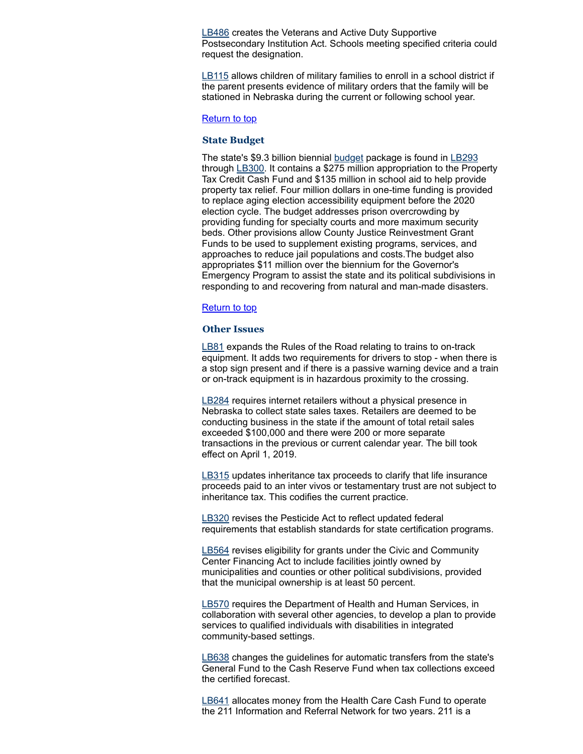**[LB486](https://nebraskalegislature.gov/bills/view_bill.php?DocumentID=37406)** creates the Veterans and Active Duty Supportive Postsecondary Institution Act. Schools meeting specified criteria could request the designation.

[LB115](https://nebraskalegislature.gov/bills/view_bill.php?DocumentID=37135) allows children of military families to enroll in a school district if the parent presents evidence of military orders that the family will be stationed in Nebraska during the current or following school year.

#### [Return](#page-0-1) to top

#### <span id="page-11-0"></span>**State Budget**

The state's \$9.3 billion biennial [budget](https://nebraskalegislature.gov/pdf/reports/fiscal/2019summary.pdf) package is found in [LB293](https://nebraskalegislature.gov/bills/view_bill.php?DocumentID=37438) through [LB300](https://nebraskalegislature.gov/bills/view_bill.php?DocumentID=37436). It contains a \$275 million appropriation to the Property Tax Credit Cash Fund and \$135 million in school aid to help provide property tax relief. Four million dollars in one-time funding is provided to replace aging election accessibility equipment before the 2020 election cycle. The budget addresses prison overcrowding by providing funding for specialty courts and more maximum security beds. Other provisions allow County Justice Reinvestment Grant Funds to be used to supplement existing programs, services, and approaches to reduce jail populations and costs.The budget also appropriates \$11 million over the biennium for the Governor's Emergency Program to assist the state and its political subdivisions in responding to and recovering from natural and man-made disasters.

#### **[Return](#page-0-1) to top**

# <span id="page-11-1"></span>**Other Issues**

[LB81](https://nebraskalegislature.gov/bills/view_bill.php?DocumentID=37106) expands the Rules of the Road relating to trains to on-track equipment. It adds two requirements for drivers to stop - when there is a stop sign present and if there is a passive warning device and a train or on-track equipment is in hazardous proximity to the crossing.

[LB284](https://nebraskalegislature.gov/bills/view_bill.php?DocumentID=37348) requires internet retailers without a physical presence in Nebraska to collect state sales taxes. Retailers are deemed to be conducting business in the state if the amount of total retail sales exceeded \$100,000 and there were 200 or more separate transactions in the previous or current calendar year. The bill took effect on April 1, 2019.

[LB315](https://nebraskalegislature.gov/bills/view_bill.php?DocumentID=37265) updates inheritance tax proceeds to clarify that life insurance proceeds paid to an inter vivos or testamentary trust are not subject to inheritance tax. This codifies the current practice.

[LB320](https://nebraskalegislature.gov/bills/view_bill.php?DocumentID=37090) revises the Pesticide Act to reflect updated federal requirements that establish standards for state certification programs.

[LB564](https://nebraskalegislature.gov/bills/view_bill.php?DocumentID=37866) revises eligibility for grants under the Civic and Community Center Financing Act to include facilities jointly owned by municipalities and counties or other political subdivisions, provided that the municipal ownership is at least 50 percent.

**[LB570](https://nebraskalegislature.gov/bills/view_bill.php?DocumentID=37197)** requires the Department of Health and Human Services, in collaboration with several other agencies, to develop a plan to provide services to qualified individuals with disabilities in integrated community-based settings.

[LB638](https://nebraskalegislature.gov/bills/view_bill.php?DocumentID=37423) changes the guidelines for automatic transfers from the state's General Fund to the Cash Reserve Fund when tax collections exceed the certified forecast.

[LB641](https://nebraskalegislature.gov/bills/view_bill.php?DocumentID=37870) allocates money from the Health Care Cash Fund to operate the 211 Information and Referral Network for two years. 211 is a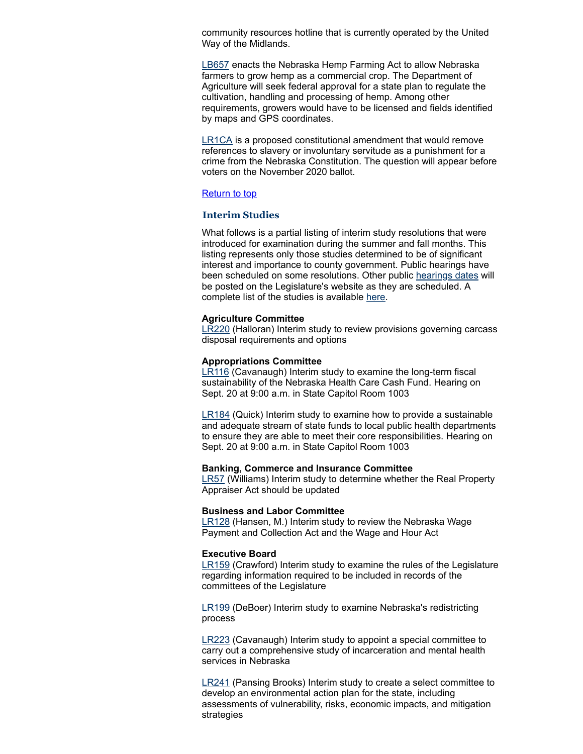community resources hotline that is currently operated by the United Way of the Midlands.

[LB657](https://nebraskalegislature.gov/bills/view_bill.php?DocumentID=37622) enacts the Nebraska Hemp Farming Act to allow Nebraska farmers to grow hemp as a commercial crop. The Department of Agriculture will seek federal approval for a state plan to regulate the cultivation, handling and processing of hemp. Among other requirements, growers would have to be licensed and fields identified by maps and GPS coordinates.

**[LR1CA](https://nebraskalegislature.gov/bills/view_bill.php?DocumentID=37374)** is a proposed constitutional amendment that would remove references to slavery or involuntary servitude as a punishment for a crime from the Nebraska Constitution. The question will appear before voters on the November 2020 ballot.

# [Return](#page-0-1) to top

# <span id="page-12-0"></span>**Interim Studies**

What follows is a partial listing of interim study resolutions that were introduced for examination during the summer and fall months. This listing represents only those studies determined to be of significant interest and importance to county government. Public hearings have been scheduled on some resolutions. Other public [hearings](https://nebraskalegislature.gov/calendar/hearings_range.php) dates will be posted on the Legislature's website as they are scheduled. A complete list of the studies is available [here.](https://nebraskalegislature.gov/session/interim.php)

# **Agriculture Committee**

[LR220](https://nebraskalegislature.gov/bills/view_bill.php?DocumentID=40377) (Halloran) Interim study to review provisions governing carcass disposal requirements and options

#### **Appropriations Committee**

[LR116](https://nebraskalegislature.gov/bills/view_bill.php?DocumentID=39868) (Cavanaugh) Interim study to examine the long-term fiscal sustainability of the Nebraska Health Care Cash Fund. Hearing on Sept. 20 at 9:00 a.m. in State Capitol Room 1003

[LR184](https://nebraskalegislature.gov/bills/view_bill.php?DocumentID=40300) (Quick) Interim study to examine how to provide a sustainable and adequate stream of state funds to local public health departments to ensure they are able to meet their core responsibilities. Hearing on Sept. 20 at 9:00 a.m. in State Capitol Room 1003

#### **Banking, Commerce and Insurance Committee**

**[LR57](https://nebraskalegislature.gov/bills/view_bill.php?DocumentID=38862)** (Williams) Interim study to determine whether the Real Property Appraiser Act should be updated

#### **Business and Labor Committee**

[LR128](https://nebraskalegislature.gov/bills/view_bill.php?DocumentID=39879) (Hansen, M.) Interim study to review the Nebraska Wage Payment and Collection Act and the Wage and Hour Act

#### **Executive Board**

[LR159](https://nebraskalegislature.gov/bills/view_bill.php?DocumentID=40274) (Crawford) Interim study to examine the rules of the Legislature regarding information required to be included in records of the committees of the Legislature

[LR199](https://nebraskalegislature.gov/bills/view_bill.php?DocumentID=40472) (DeBoer) Interim study to examine Nebraska's redistricting process

[LR223](https://nebraskalegislature.gov/bills/view_bill.php?DocumentID=40437) (Cavanaugh) Interim study to appoint a special committee to carry out a comprehensive study of incarceration and mental health services in Nebraska

[LR241](https://nebraskalegislature.gov/bills/view_bill.php?DocumentID=40441) (Pansing Brooks) Interim study to create a select committee to develop an environmental action plan for the state, including assessments of vulnerability, risks, economic impacts, and mitigation strategies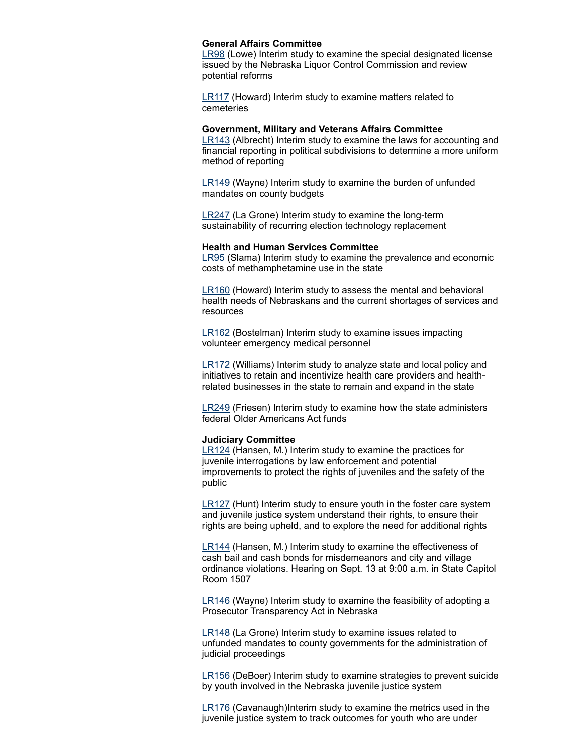# **General Affairs Committee**

**[LR98](https://nebraskalegislature.gov/bills/view_bill.php?DocumentID=39743)** (Lowe) Interim study to examine the special designated license issued by the Nebraska Liquor Control Commission and review potential reforms

[LR117](https://nebraskalegislature.gov/bills/view_bill.php?DocumentID=39870) (Howard) Interim study to examine matters related to cemeteries

# **Government, Military and Veterans Affairs Committee**

[LR143](https://nebraskalegislature.gov/bills/view_bill.php?DocumentID=40270) (Albrecht) Interim study to examine the laws for accounting and financial reporting in political subdivisions to determine a more uniform method of reporting

[LR149](https://nebraskalegislature.gov/bills/view_bill.php?DocumentID=40187) (Wayne) Interim study to examine the burden of unfunded mandates on county budgets

[LR247](https://nebraskalegislature.gov/bills/view_bill.php?DocumentID=40531) (La Grone) Interim study to examine the long-term sustainability of recurring election technology replacement

#### **Health and Human Services Committee**

[LR95](https://nebraskalegislature.gov/bills/view_bill.php?DocumentID=39741) (Slama) Interim study to examine the prevalence and economic costs of methamphetamine use in the state

[LR160](https://nebraskalegislature.gov/bills/view_bill.php?DocumentID=39869) (Howard) Interim study to assess the mental and behavioral health needs of Nebraskans and the current shortages of services and resources

[LR162](https://nebraskalegislature.gov/bills/view_bill.php?DocumentID=40403) (Bostelman) Interim study to examine issues impacting volunteer emergency medical personnel

[LR172](https://nebraskalegislature.gov/bills/view_bill.php?DocumentID=40446) (Williams) Interim study to analyze state and local policy and initiatives to retain and incentivize health care providers and healthrelated businesses in the state to remain and expand in the state

[LR249](https://nebraskalegislature.gov/bills/view_bill.php?DocumentID=40530) (Friesen) Interim study to examine how the state administers federal Older Americans Act funds

# **Judiciary Committee**

[LR124](https://nebraskalegislature.gov/bills/view_bill.php?DocumentID=40052) (Hansen, M.) Interim study to examine the practices for juvenile interrogations by law enforcement and potential improvements to protect the rights of juveniles and the safety of the public

[LR127](https://nebraskalegislature.gov/bills/view_bill.php?DocumentID=40063) (Hunt) Interim study to ensure youth in the foster care system and juvenile justice system understand their rights, to ensure their rights are being upheld, and to explore the need for additional rights

[LR144](https://nebraskalegislature.gov/bills/view_bill.php?DocumentID=40051) (Hansen, M.) Interim study to examine the effectiveness of cash bail and cash bonds for misdemeanors and city and village ordinance violations. Hearing on Sept. 13 at 9:00 a.m. in State Capitol Room 1507

[LR146](https://nebraskalegislature.gov/bills/view_bill.php?DocumentID=40240) (Wayne) Interim study to examine the feasibility of adopting a Prosecutor Transparency Act in Nebraska

[LR148](https://nebraskalegislature.gov/bills/view_bill.php?DocumentID=40188) (La Grone) Interim study to examine issues related to unfunded mandates to county governments for the administration of judicial proceedings

[LR156](https://nebraskalegislature.gov/bills/view_bill.php?DocumentID=40451) (DeBoer) Interim study to examine strategies to prevent suicide by youth involved in the Nebraska juvenile justice system

[LR176](https://nebraskalegislature.gov/bills/view_bill.php?DocumentID=40283) (Cavanaugh)Interim study to examine the metrics used in the juvenile justice system to track outcomes for youth who are under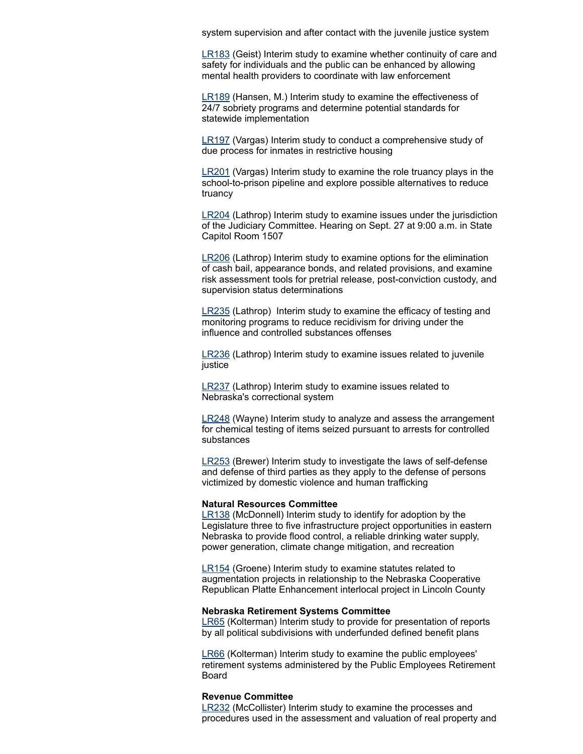system supervision and after contact with the juvenile justice system

[LR183](https://nebraskalegislature.gov/bills/view_bill.php?DocumentID=40486) (Geist) Interim study to examine whether continuity of care and safety for individuals and the public can be enhanced by allowing mental health providers to coordinate with law enforcement

[LR189](https://nebraskalegislature.gov/bills/view_bill.php?DocumentID=40426) (Hansen, M.) Interim study to examine the effectiveness of 24/7 sobriety programs and determine potential standards for statewide implementation

[LR197](https://nebraskalegislature.gov/bills/view_bill.php?DocumentID=40453) (Vargas) Interim study to conduct a comprehensive study of due process for inmates in restrictive housing

[LR201](https://nebraskalegislature.gov/bills/view_bill.php?DocumentID=40410) (Vargas) Interim study to examine the role truancy plays in the school-to-prison pipeline and explore possible alternatives to reduce truancy

[LR204](https://nebraskalegislature.gov/bills/view_bill.php?DocumentID=40138) (Lathrop) Interim study to examine issues under the jurisdiction of the Judiciary Committee. Hearing on Sept. 27 at 9:00 a.m. in State Capitol Room 1507

[LR206](https://nebraskalegislature.gov/bills/view_bill.php?DocumentID=39687) (Lathrop) Interim study to examine options for the elimination of cash bail, appearance bonds, and related provisions, and examine risk assessment tools for pretrial release, post-conviction custody, and supervision status determinations

[LR235](https://nebraskalegislature.gov/bills/view_bill.php?DocumentID=40489) (Lathrop) Interim study to examine the efficacy of testing and monitoring programs to reduce recidivism for driving under the influence and controlled substances offenses

[LR236](https://nebraskalegislature.gov/bills/view_bill.php?DocumentID=40439) (Lathrop) Interim study to examine issues related to juvenile justice

[LR237](https://nebraskalegislature.gov/bills/view_bill.php?DocumentID=40139) (Lathrop) Interim study to examine issues related to Nebraska's correctional system

[LR248](https://nebraskalegislature.gov/bills/view_bill.php?DocumentID=40430) (Wayne) Interim study to analyze and assess the arrangement for chemical testing of items seized pursuant to arrests for controlled substances

[LR253](https://nebraskalegislature.gov/bills/view_bill.php?DocumentID=40428) (Brewer) Interim study to investigate the laws of self-defense and defense of third parties as they apply to the defense of persons victimized by domestic violence and human trafficking

#### **Natural Resources Committee**

[LR138](https://nebraskalegislature.gov/bills/view_bill.php?DocumentID=39950) (McDonnell) Interim study to identify for adoption by the Legislature three to five infrastructure project opportunities in eastern Nebraska to provide flood control, a reliable drinking water supply, power generation, climate change mitigation, and recreation

[LR154](https://nebraskalegislature.gov/bills/view_bill.php?DocumentID=40151) (Groene) Interim study to examine statutes related to augmentation projects in relationship to the Nebraska Cooperative Republican Platte Enhancement interlocal project in Lincoln County

# **Nebraska Retirement Systems Committee**

[LR65](https://nebraskalegislature.gov/bills/view_bill.php?DocumentID=39319) (Kolterman) Interim study to provide for presentation of reports by all political subdivisions with underfunded defined benefit plans

[LR66](https://nebraskalegislature.gov/bills/view_bill.php?DocumentID=39318) (Kolterman) Interim study to examine the public employees' retirement systems administered by the Public Employees Retirement Board

# **Revenue Committee**

[LR232](https://nebraskalegislature.gov/bills/view_bill.php?DocumentID=39318) (McCollister) Interim study to examine the processes and procedures used in the assessment and valuation of real property and